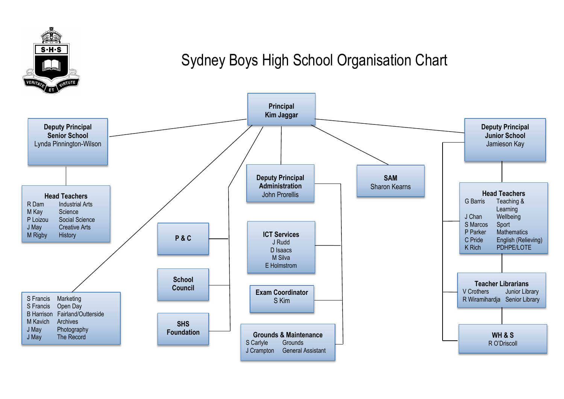

## Sydney Boys High School Organisation Chart